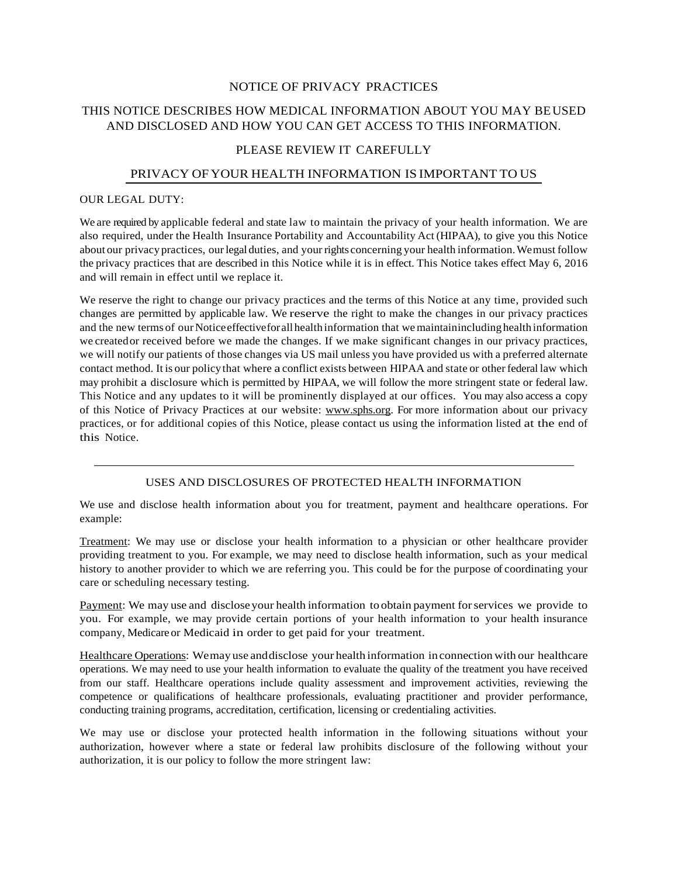## NOTICE OF PRIVACY PRACTICES

# THIS NOTICE DESCRIBES HOW MEDICAL INFORMATION ABOUT YOU MAY BEUSED AND DISCLOSED AND HOW YOU CAN GET ACCESS TO THIS INFORMATION.

## PLEASE REVIEW IT CAREFULLY

## PRIVACY OFYOUR HEALTH INFORMATION IS IMPORTANT TO US

#### OUR LEGAL DUTY:

We are required by applicable federal and state law to maintain the privacy of your health information. We are also required, under the Health Insurance Portability and Accountability Act (HIPAA), to give you this Notice about our privacy practices, ourlegal duties, and your rights concerning your health information.Wemust follow the privacy practices that are described in this Notice while it is in effect. This Notice takes effect May 6, 2016 and will remain in effect until we replace it.

We reserve the right to change our privacy practices and the terms of this Notice at any time, provided such changes are permitted by applicable law. We reserve the right to make the changes in our privacy practices and the new terms of our Notice effective for all health information that we maintainincluding health information we createdor received before we made the changes. If we make significant changes in our privacy practices, we will notify our patients of those changes via US mail unless you have provided us with a preferred alternate contact method. It is our policy that where a conflict exists between HIPAA and state or other federal law which may prohibit a disclosure which is permitted by HIPAA, we will follow the more stringent state or federal law. This Notice and any updates to it will be prominently displayed at our offices. You may also access a copy of this Notice of Privacy Practices at our website: [www.sphs.org.](http://www.sphs.org/) For more information about our privacy practices, or for additional copies of this Notice, please contact us using the information listed at the end of this Notice.

#### USES AND DISCLOSURES OF PROTECTED HEALTH INFORMATION

We use and disclose health information about you for treatment, payment and healthcare operations. For example:

Treatment: We may use or disclose your health information to a physician or other healthcare provider providing treatment to you. For example, we may need to disclose health information, such as your medical history to another provider to which we are referring you. This could be for the purpose of coordinating your care or scheduling necessary testing.

Payment: We may use and discloseyour health information to obtain payment forservices we provide to you. For example, we may provide certain portions of your health information to your health insurance company, Medicare or Medicaid in order to get paid for your treatment.

Healthcare Operations: Wemay use anddisclose your health information inconnection with our healthcare operations. We may need to use your health information to evaluate the quality of the treatment you have received from our staff. Healthcare operations include quality assessment and improvement activities, reviewing the competence or qualifications of healthcare professionals, evaluating practitioner and provider performance, conducting training programs, accreditation, certification, licensing or credentialing activities.

We may use or disclose your protected health information in the following situations without your authorization, however where a state or federal law prohibits disclosure of the following without your authorization, it is our policy to follow the more stringent law: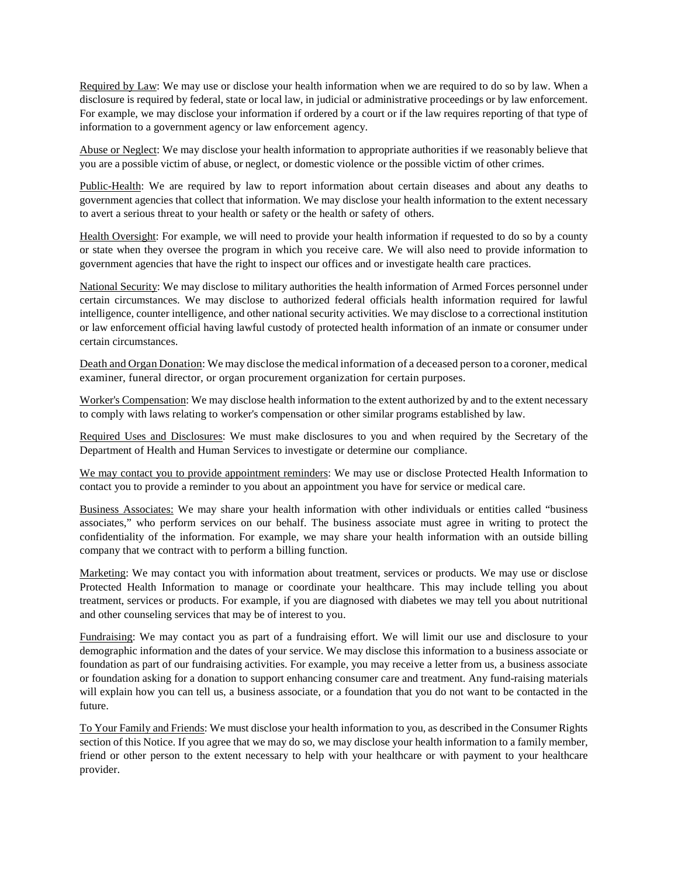Required by Law: We may use or disclose your health information when we are required to do so by law. When a disclosure is required by federal, state or local law, in judicial or administrative proceedings or by law enforcement. For example, we may disclose your information if ordered by a court or if the law requires reporting of that type of information to a government agency or law enforcement agency.

Abuse or Neglect: We may disclose your health information to appropriate authorities if we reasonably believe that you are a possible victim of abuse, or neglect, or domestic violence or the possible victim of other crimes.

Public-Health: We are required by law to report information about certain diseases and about any deaths to government agencies that collect that information. We may disclose your health information to the extent necessary to avert a serious threat to your health or safety or the health or safety of others.

Health Oversight: For example, we will need to provide your health information if requested to do so by a county or state when they oversee the program in which you receive care. We will also need to provide information to government agencies that have the right to inspect our offices and or investigate health care practices.

National Security: We may disclose to military authorities the health information of Armed Forces personnel under certain circumstances. We may disclose to authorized federal officials health information required for lawful intelligence, counter intelligence, and other national security activities. We may disclose to a correctional institution or law enforcement official having lawful custody of protected health information of an inmate or consumer under certain circumstances.

Death and Organ Donation: We may disclose the medical information of a deceased person to a coroner, medical examiner, funeral director, or organ procurement organization for certain purposes.

Worker's Compensation: We may disclose health information to the extent authorized by and to the extent necessary to comply with laws relating to worker's compensation or other similar programs established by law.

Required Uses and Disclosures: We must make disclosures to you and when required by the Secretary of the Department of Health and Human Services to investigate or determine our compliance.

We may contact you to provide appointment reminders: We may use or disclose Protected Health Information to contact you to provide a reminder to you about an appointment you have for service or medical care.

Business Associates: We may share your health information with other individuals or entities called "business associates," who perform services on our behalf. The business associate must agree in writing to protect the confidentiality of the information. For example, we may share your health information with an outside billing company that we contract with to perform a billing function.

Marketing: We may contact you with information about treatment, services or products. We may use or disclose Protected Health Information to manage or coordinate your healthcare. This may include telling you about treatment, services or products. For example, if you are diagnosed with diabetes we may tell you about nutritional and other counseling services that may be of interest to you.

Fundraising: We may contact you as part of a fundraising effort. We will limit our use and disclosure to your demographic information and the dates of your service. We may disclose this information to a business associate or foundation as part of our fundraising activities. For example, you may receive a letter from us, a business associate or foundation asking for a donation to support enhancing consumer care and treatment. Any fund-raising materials will explain how you can tell us, a business associate, or a foundation that you do not want to be contacted in the future.

To Your Family and Friends: We must disclose your health information to you, as described in the Consumer Rights section of this Notice. If you agree that we may do so, we may disclose your health information to a family member, friend or other person to the extent necessary to help with your healthcare or with payment to your healthcare provider.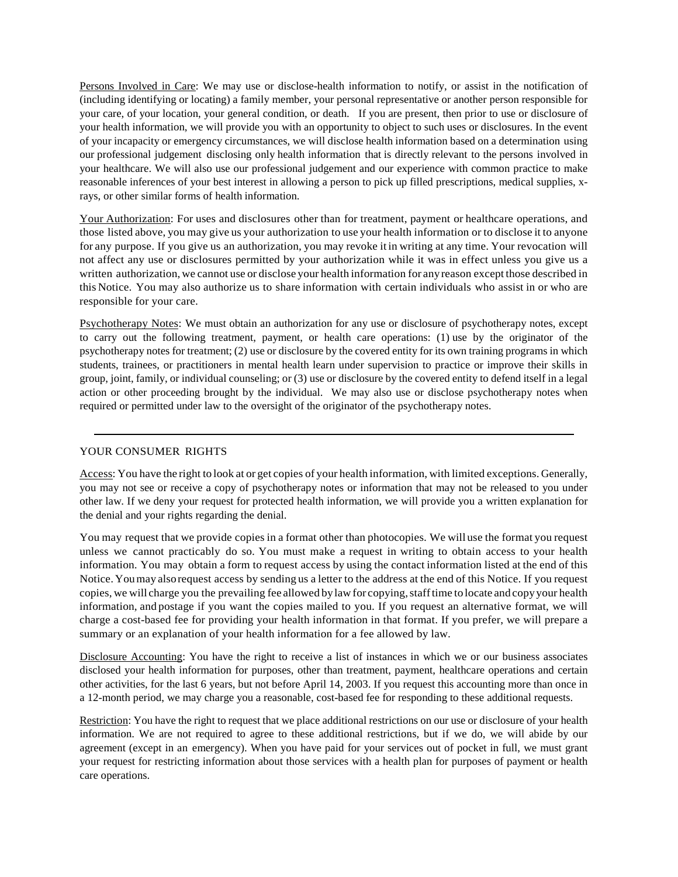Persons Involved in Care: We may use or disclose-health information to notify, or assist in the notification of (including identifying or locating) a family member, your personal representative or another person responsible for your care, of your location, your general condition, or death. If you are present, then prior to use or disclosure of your health information, we will provide you with an opportunity to object to such uses or disclosures. In the event of your incapacity or emergency circumstances, we will disclose health information based on a determination using our professional judgement disclosing only health information that is directly relevant to the persons involved in your healthcare. We will also use our professional judgement and our experience with common practice to make reasonable inferences of your best interest in allowing a person to pick up filled prescriptions, medical supplies, xrays, or other similar forms of health information.

Your Authorization: For uses and disclosures other than for treatment, payment or healthcare operations, and those listed above, you may give us your authorization to use your health information or to disclose it to anyone for any purpose. If you give us an authorization, you may revoke it in writing at any time. Your revocation will not affect any use or disclosures permitted by your authorization while it was in effect unless you give us a written authorization, we cannot use or disclose your health information for anyreason except those described in this Notice. You may also authorize us to share information with certain individuals who assist in or who are responsible for your care.

Psychotherapy Notes: We must obtain an authorization for any use or disclosure of psychotherapy notes, except to carry out the following treatment, payment, or health care operations: (1) use by the originator of the psychotherapy notes for treatment; (2) use or disclosure by the covered entity for its own training programs in which students, trainees, or practitioners in mental health learn under supervision to practice or improve their skills in group, joint, family, or individual counseling; or (3) use or disclosure by the covered entity to defend itself in a legal action or other proceeding brought by the individual. We may also use or disclose psychotherapy notes when required or permitted under law to the oversight of the originator of the psychotherapy notes.

## YOUR CONSUMER RIGHTS

Access: You have the right to look at or get copies of your health information, with limited exceptions. Generally, you may not see or receive a copy of psychotherapy notes or information that may not be released to you under other law. If we deny your request for protected health information, we will provide you a written explanation for the denial and your rights regarding the denial.

You may request that we provide copies in a format other than photocopies. We will use the format you request unless we cannot practicably do so. You must make a request in writing to obtain access to your health information. You may obtain a form to request access by using the contact information listed at the end of this Notice. Youmay alsorequest access by sending us a letter to the address at the end of this Notice. If you request copies, we will charge you the prevailing fee allowed bylawfor copying,stafftime to locate and copyyour health information, and postage if you want the copies mailed to you. If you request an alternative format, we will charge a cost-based fee for providing your health information in that format. If you prefer, we will prepare a summary or an explanation of your health information for a fee allowed by law.

Disclosure Accounting: You have the right to receive a list of instances in which we or our business associates disclosed your health information for purposes, other than treatment, payment, healthcare operations and certain other activities, for the last 6 years, but not before April 14, 2003. If you request this accounting more than once in a 12-month period, we may charge you a reasonable, cost-based fee for responding to these additional requests.

Restriction: You have the right to request that we place additional restrictions on our use or disclosure of your health information. We are not required to agree to these additional restrictions, but if we do, we will abide by our agreement (except in an emergency). When you have paid for your services out of pocket in full, we must grant your request for restricting information about those services with a health plan for purposes of payment or health care operations.